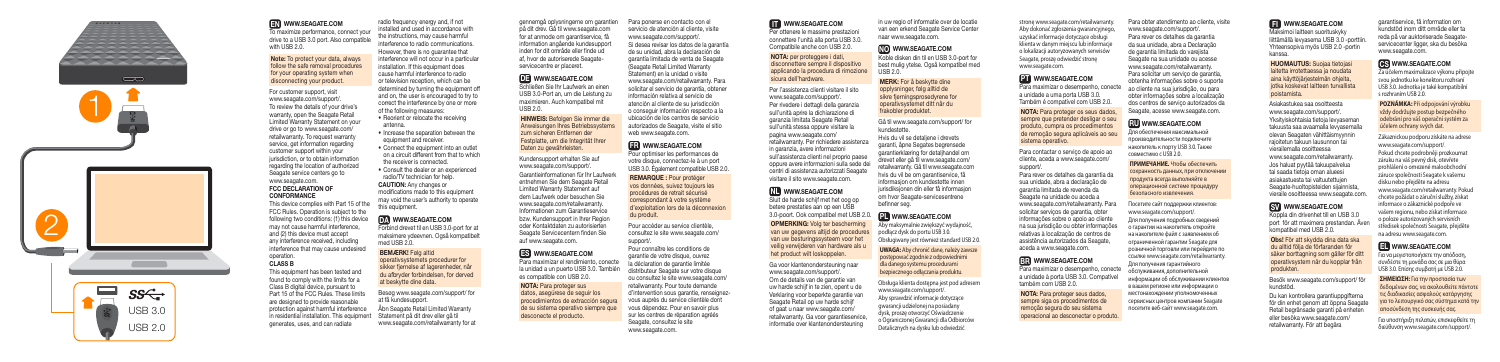Per ottenere le massime prestazioni connettere l'unità alla porta USB 3.0. Compatibile anche con USB 2.0.

NOTA: per proteggere i dati, disconnettere sempre il dispositivo applicando la procedura di rimozione sicura dell'hardware.

Per l'assistenza clienti visitare il sito www.seagate.com/support/. Per rivedere i dettagli della garanzia sull'unità aprire la dichiarazione di garanzia limitata Seagate Retail sull'unità stessa oppure visitare la pagina www.seagate.com/ retailwarranty. Per richiedere assistenza in garanzia, avere informazioni sull'assistenza clienti nel proprio paes oppure avere informazioni sulla sede dei centri di assistenza autorizzati Seagate visitare il sito www.seagate.com.

**NL** WWW.SEAGATE.COM

Koble disken din til en USB 3.0-port for best mulig ytelse. Også kompatibel med  $USR 20$ 

Sluit de harde schijf met het oog op betere prestaties aan op een USB 3.0-poort. Ook compatibel met USB 2.0. OPMERKING: Volg ter bescherming van uw gegevens altijd de procedures van uw besturingssysteem voor het veilig verwijderen van hardware als u

het product wilt loskoppelen. Ga voor klantenondersteuning naar www.seagate.com/support/. Om de details van de garantie van uw harde schijf in te zien, opent u de Verklaring voor beperkte garantie van Seagate Retail op uw harde schijf of gaat u naar www.seagate.com/ retailwarranty. Ga voor garantieservice informatie over klantenondersteuning

in uw regio of informatie over de locatie van een erkend Seagate Service Center naar www.seagate.com.

# NO WWW.SEAGATE.COM

MERK: For å beskytte dine opplysninger, følg alltid de sikre fjerningsprosedyrene for operativsystemet ditt når du frakobler produktet.

Gå til www.seagate.com/support/ for kundestøtte.

Hvis du vil se detaljene i drevets garanti, åpne Segates begrensede garantierklæring for detaljhandel om drevet eller gå til www.seagate.com/ retailwarranty. Gå til www.seagate.com hvis du vil be om garantiservice, få informasjon om kundestøtte innen jurisdiksjonen din eller få informasjon om hvor Seagate-servicesentrene befinner seg.

# PLWWW.SEAGATE.COM

o conseguir información respecto a la ubicación de los centros de servicio autorizados de Seagate, visite el sitio web www.seagate.com.

# **FR** WWW.SEAGATE.COM

Aby maksymalnie zwiększyć wydajność, podłącz dysk do portu USB 3.0. Obsługiwany jest również standard USB 2.0.

**UWAGA:** Aby chronić dane, należy zawsze postępować zgodnie z odpowiednimi dla danego systemu procedurami bezpiecznego odłączania produktu.

Obsługa klienta dostępna jest pod adresem www.seagate.com/support/.

Aby sprawdzić informacje dotyczące gwarancji udzielonej na posiadany dysk, proszę otworzyć Oświadczenie o Ograniczonej Gwarancji dla Odbiorców Detalicznych na dysku lub odwiedzić

gennemgå oplysningerne om garantien på dit drev. Gå til www.seagate.com for at anmode om garantiservice, få information angående kundesupport inden for dit område eller finde ud af, hvor de autoriserede Seagateservicecentre er placeret.

#### DE WWW.SEAGATE.COM

Schließen Sie Ihr Laufwerk an einen USB 3.0-Port an, um die Leistung zu maximieren. Auch kompatibel mit USB 2.0.

HINWEIS: Befolgen Sie immer die Anweisungen Ihres Betriebssystems zum sicheren Entfernen der Festplatte, um die Integrität Ihrer Daten zu gewährleisten.

This equipment has been tested and found to comply with the limits for a Class B digital device, pursuant to Part 15 of the FCC Rules. These limits are designed to provide reasonable protection against harmful interference in residential installation. This equipment generates, uses, and can radiate ПОСЕДЕНИЕ ПОСЕДЕНИЕ ПОСЕДЕНИЕ ПОСЕДЕНИЕ ПОСЕДЕНИЕ ПОСЕДЕНИЕ ПОСЕДЕНИЕ ПОСЕДЕНИЕ ПОСЕДЕНИЕ ПОСЕДЕНИЕ ПОСЕДЕНИЕ ПОСЕДЕНИЕ ПОСЕДЕНИЕ ПОСЕДЕНИЕ ПОСЕДЕНИЕ ПОСЕДЕНИЕ ПОСЕДЕНИЕ ПОСЕДЕНИЕ ПОСЕДЕНИЕ ПОСЕДЕНИЕ ПОСЕДЕНИЕ ПОСЕДЕНИЕ П

radio frequency energy and, if not installed and used in accordance with the instructions, may cause harmful interference to radio communications. However, there is no guarantee that interference will not occur in a particular installation. If this equipment does cause harmful interference to radio or television reception, which can be determined by turning the equipment off and on, the user is encouraged to try to correct the interference by one or more<br>of the following measures:

> Kundensupport erhalten Sie auf www.seagate.com/support/. Garantieinformationen für Ihr Laufwerk entnehmen Sie dem Seagate Retail Limited Warranty Statement auf dem Laufwerk oder besuchen Sie www.seagate.com/retailwarranty. Informationen zum Garantieservice bzw. Kundensupport in Ihrer Region oder Kontaktdaten zu autorisierten Seagate Servicecentern finden Sie auf www.seagate.com.

# ES WWW.SEAGATE.COM

Para maximizar el rendimiento, conecte la unidad a un puerto USB 3.0. También es compatible con USB 2.0.

- Reorient or relocate the receiving antenna.
- Increase the separation between the equipment and receiver.
- Connect the equipment into an outlet on a circuit different from that to which the receiver is connected.
- Consult the dealer or an experienced radio/TV technician for help.

Forbind drevet til en USB 3.0-port for at maksimere ydeevnen. Også kompatibelt med USB 2.0.

#### BEMÆRK! Følg altid

NOTA: Para proteger sus datos, asegúrese de seguir los procedimientos de extracción segura de su sistema operativo siempre que desconecte el producto.

Para ponerse en contacto con el servicio de atención al cliente, visite www.seagate.com/support/. Si desea revisar los datos de la garantía de su unidad, abra la declaración de garantía limitada de venta de Seagate (Seagate Retail Limited Warranty Statement) en la unidad o visite www.seagate.com/retailwarranty. Para solicitar el servicio de garantía, obtener información relativa al servicio de atención al cliente de su jurisdicción

> Para contactar o serviço de apoio ao cliente, aceda a www.seagate.com/ support/.

Pour optimiser les performances de votre disque, connectez-le à un port USB 3.0. Également compatible USB 2.0.

REMARQUE : Pour protéger vos données, suivez toujours les procédures de retrait sécurisé correspondant à votre système d'exploitation lors de la déconnexion du produit.

Pour accéder au service clientèle, consultez le site www.seagate.com/ support/.

Pour connaître les conditions de garantie de votre disque, ouvrez la déclaration de garantie limitée distributeur Seagate sur votre disque ou consultez le site www.seagate.com/ retailwarranty. Pour toute demande d'intervention sous garantie, renseignezvous auprès du service clientèle dont vous dépendez. Pour en savoir plus sur les centres de réparation agréés Seagate, consultez le site www.seagate.com.

# **IT WWW.SEAGATE.COM**

# EN WWW.SEAGATE.COM

To maximize performance, connect your drive to a USB 3.0 port. Also compatible with USB 2.0.

> **HUOMAUTUS: Suojaa tietojas** laitetta irrotettaessa ja noudata aina käyttöjärjestelmän ohjeita, jotka koskevat laitteen turvallista poistamista.

#### Note: To protect your data, always follow the safe removal procedures for your operating system when disconnecting your product.

For customer support, visit www.seagate.com/support/.

To review the details of your drive's warranty, open the Seagate Retail Limited Warranty Statement on your drive or go to www.seagate.com/ retailwarranty. To request warranty service, get information regarding customer support within your jurisdiction, or to obtain information regarding the location of authorized Seagate service centers go to www.seagate.com.

#### FCC DECLARATION OF CONFORMANCE

This device complies with Part 15 of the FCC Rules. Operation is subject to the following two conditions: (1) this device may not cause harmful interference, and (2) this device must accept any interference received, including interference that may cause undesired operation.

#### CLASS B

CAUTION: Any changes or modifications made to this equipment may void the user's authority to operate this equipment.

### DA WWW.SEAGATE.COM

operativsystemets procedurer for sikker fjernelse af lagerenheder, når du afbryder forbindelsen, for derved at beskytte dine data.

Besøg www.seagate.com/support/ for at få kundesupport. Åbn Seagate Retail Limited Warranty Statement på dit drev eller gå til www.seagate.com/retailwarranty for at

stronę www.seagate.com/retailwarranty. Aby dokonać zgłoszenia gwarancyjnego, uzyskać informacje dotyczące obsługi klienta w danym miejscu lub informacje o lokalizacji autoryzowanych serwisów Seagate, proszę odwiedzić stronę

www.seagate.com.

### **PT** WWW.SEAGATE.COM

Para maximizar o desempenho, conecte a unidade a uma porta USB 3.0. Também é compatível com USB 2.0.

NOTA: Para proteger os seus dados, sempre que pretender desligar o seu produto, cumpra os procedimentos de remoção segura aplicáveis ao seu sistema operativo.

Para rever os detalhes da garantia da sua unidade, abra a declaração de garantia limitada de revenda da Seagate na unidade ou aceda a www.seagate.com/retailwarranty. Para solicitar serviços de garantia, obter informações sobre o apoio ao cliente na sua jurisdição ou obter informações relativas à localização de centros de assistência autorizados da Seagate, aceda a www.seagate.com.

#### BR WWW.SEAGATE.COM

Para maximizar o desempenho, conecte a unidade à porta USB 3.0. Compatível também com USB 2.0.

NOTA: Para proteger seus dados, sempre siga os procedimentos de remoção segura do seu sistema operacional ao desconectar o produto.

Para obter atendimento ao cliente, visite www.seagate.com/support/. Para rever os detalhes da garantia da sua unidade, abra a Declaração de garantia limitada do varejista Seagate na sua unidade ou acesse www.seagate.com/retailwarranty. Para solicitar um serviço de garantia, obtenha informações sobre o suporte ao cliente na sua jurisdição, ou para obter informações sobre a localização dos centros de serviço autorizados da Seagate, acesse www.seagate.com.

# RUWWW.SEAGATE.COM

Для обеспечения максимальной производительности подключите накопитель к порту USB 3.0. Также совместимо с USB 2.0.

**ПРИМЕЧАНИЕ.** Чтобы обеспечить сохранность данных, при отключении продукта всегда выполняйте в операционной системе процедуру безопасного извлечения.

Посетите сайт поддержки клиентов: www.seagate.com/support/. Для получения подробных сведений о гарантии на накопитель откройте на накопителе файл с заявлением об ограниченной гарантии Seagate для розничной торговли или перейдите по ссылке www.seagate.com/retailwarranty. Для получения гарантийного обслуживания, дополнительной информации об обслуживании клиентов в вашем регионе или информации о местонахождении уполномоченных сервисных центров компании Seagate

#### **FI** WWW.SEAGATE.COM





Maksimoi laitteen suorituskyky liittämällä levyasema USB 3.0 -porttiin. Yhteensopiva myös USB 2.0 -portin kanssa.

Asiakastukea saa osoitteesta www.seagate.com/support/. Yksityiskohtaisia tietoja levyaseman takuusta saa avaamalla levyasemalla olevan Seagaten vähittäismyynnin rajoitetun takuun lausunnon tai vierailemalla osoitteessa www.seagate.com/retailwarranty. Jos haluat pyytää takuupalvelua tai saada tietoja oman alueesi asiakastuesta tai valtuutettujen Seagate-huoltopisteiden sijainnista, vieraile osoitteessa www.seagate.com.

#### SV WWW.SEAGATE.COM

Koppla din drivenhet till en USB 3.0 port för att maximera prestandan. Även kompatibel med USB 2.0.

Obs! För att skydda dina data ska du alltid följa de förfaranden för säker borttagning som gäller för ditt operativsystem när du kopplar från produkten.

Besök www.seagate.com/support/ för kundstöd.

Du kan kontrollera garantiuppgifterna för din enhet genom att öppna Seagate Retail begränsade garanti på enheten eller besöka www.seagate.com/ retailwarranty. För att begära

garantiservice, få information om kundstöd inom ditt område eller ta reda på var auktoriserade Seagateservicecenter ligger, ska du besöka www.seagate.com.

### CSWWW.SEAGATE.COM

Za účelem maximalizace výkonu připojte svou jednotku ke konektoru rozhraní USB 3.0. Jednotka je také kompatibilní s rozhraním USB 2.0.

**POZNÁMKA:** Při odpojování výrobku vždy dodržujte postup bezpečného odebrání pro váš operační systém za účelem ochrany svých dat.

Zákaznickou podporu získáte na adrese www.seagate.com/support/.

Pokud chcete podrobněji prozkoumat záruku na váš pevný disk, otevřete prohlášení o omezené maloobchodní záruce společnosti Seagate k vašemu disku nebo přejděte na adresu www.seagate.com/retailwarranty. Pokud chcete požádat o záruční služby, získat informace o zákaznické podpoře ve vašem regionu, nebo získat informace o poloze autorizovaných servisních středisek společnosti Seagate, přejděte na adresu www.seagate.com.

# ELWWW.SEAGATE.COM

Για να μεγιστοποιήσετε την απόδοση, συνδέστε τη μονάδα σας σε μια θύρα USB 3.0. Επίσης συμβατή με USB 2.0.

**ΣΗΜΕΙΩΣΗ:** Για την προστασία των δεδομένων σας, να ακολουθείτε πάντοτε τις διαδικασίες ασφαλούς κατάργησης για το λειτουργικό σας σύστημα κατά την αποσύνδεση της συσκευής σας.

Για υποστήριξη πελατών, επισκεφθείτε τη διεύθυνση www.seagate.com/support/.